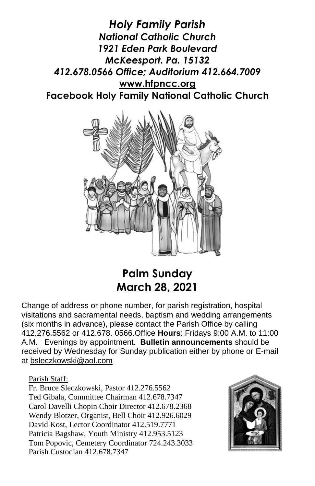*Holy Family Parish National Catholic Church 1921 Eden Park Boulevard McKeesport. Pa. 15132 412.678.0566 Office; Auditorium 412.664.7009* **[www.hfpncc.org](http://www.hfpncc.org/) Facebook Holy Family National Catholic Church**



## **Palm Sunday March 28, 2021**

Change of address or phone number, for parish registration, hospital visitations and sacramental needs, baptism and wedding arrangements (six months in advance), please contact the Parish Office by calling 412.276.5562 or 412.678. 0566.Office **Hours**: Fridays 9:00 A.M. to 11:00 A.M. Evenings by appointment. **Bulletin announcements** should be received by Wednesday for Sunday publication either by phone or E-mail at [bsleczkowski@aol.com](mailto:bsleczkowski@aol.com)

Parish Staff:

Fr. Bruce Sleczkowski, Pastor 412.276.5562 Ted Gibala, Committee Chairman 412.678.7347 Carol Davelli Chopin Choir Director 412.678.2368 Wendy Blotzer, Organist, Bell Choir 412.926.6029 David Kost, Lector Coordinator 412.519.7771 Patricia Bagshaw, Youth Ministry 412.953.5123 Tom Popovic, Cemetery Coordinator 724.243.3033 Parish Custodian 412.678.7347

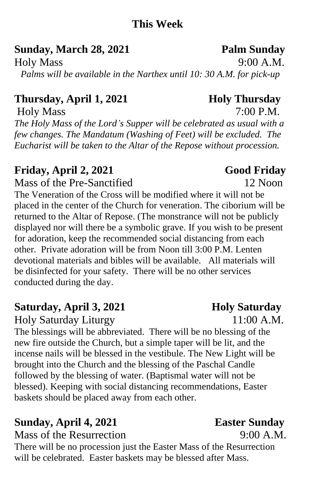### **This Week**

**Sunday, March 28, 2021 Palm Sunday**

Holy Mass 9:00 A.M. *Palms will be available in the Narthex until 10: 30 A.M. for pick-up*

## **Thursday, April 1, 2021 Holy Thursday**

Holy Mass 7:00 P.M. *The Holy Mass of the Lord's Supper will be celebrated as usual with a few changes. The Mandatum (Washing of Feet) will be excluded. The Eucharist will be taken to the Altar of the Repose without procession.*

## **Friday, April 2, 2021 Good Friday**

Mass of the Pre-Sanctified 12 Noon

The Veneration of the Cross will be modified where it will not be placed in the center of the Church for veneration. The ciborium will be returned to the Altar of Repose. (The monstrance will not be publicly displayed nor will there be a symbolic grave. If you wish to be present for adoration, keep the recommended social distancing from each other. Private adoration will be from Noon till 3:00 P.M. Lenten devotional materials and bibles will be available. All materials will be disinfected for your safety. There will be no other services conducted during the day.

## **Saturday, April 3, 2021 Holy Saturday**

Holy Saturday Liturgy 11:00 A.M.

The blessings will be abbreviated. There will be no blessing of the new fire outside the Church, but a simple taper will be lit, and the incense nails will be blessed in the vestibule. The New Light will be brought into the Church and the blessing of the Paschal Candle followed by the blessing of water. (Baptismal water will not be blessed). Keeping with social distancing recommendations, Easter baskets should be placed away from each other.

# **Sunday, April 4, 2021 Easter Sunday**

Mass of the Resurrection 9:00 A.M.

There will be no procession just the Easter Mass of the Resurrection will be celebrated. Easter baskets may be blessed after Mass.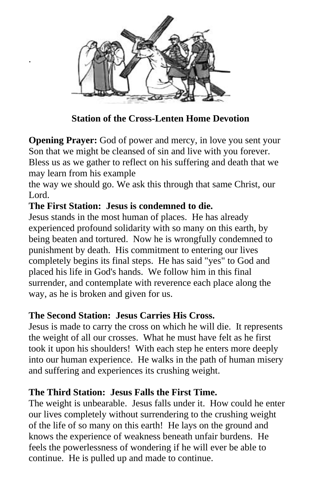

 **Station of the Cross-Lenten Home Devotion**

**Opening Prayer:** God of power and mercy, in love you sent your Son that we might be cleansed of sin and live with you forever. Bless us as we gather to reflect on his suffering and death that we may learn from his example

the way we should go. We ask this through that same Christ, our Lord.

#### **The First Station: Jesus is condemned to die.**

.

Jesus stands in the most human of places. He has already experienced profound solidarity with so many on this earth, by being beaten and tortured. Now he is wrongfully condemned to punishment by death. His commitment to entering our lives completely begins its final steps. He has said "yes" to God and placed his life in God's hands. We follow him in this final surrender, and contemplate with reverence each place along the way, as he is broken and given for us.

#### **The Second Station: Jesus Carries His Cross.**

Jesus is made to carry the cross on which he will die. It represents the weight of all our crosses. What he must have felt as he first took it upon his shoulders! With each step he enters more deeply into our human experience. He walks in the path of human misery and suffering and experiences its crushing weight.

### **The Third Station: Jesus Falls the First Time.**

The weight is unbearable. Jesus falls under it. How could he enter our lives completely without surrendering to the crushing weight of the life of so many on this earth! He lays on the ground and knows the experience of weakness beneath unfair burdens. He feels the powerlessness of wondering if he will ever be able to continue. He is pulled up and made to continue.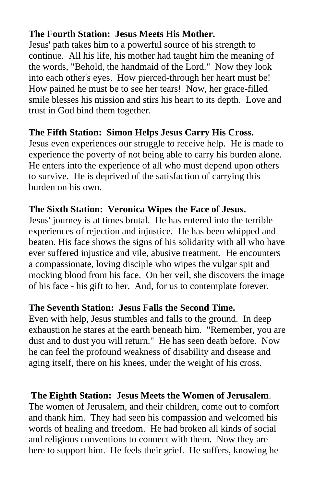#### **The Fourth Station: Jesus Meets His Mother.**

Jesus' path takes him to a powerful source of his strength to continue. All his life, his mother had taught him the meaning of the words, "Behold, the handmaid of the Lord." Now they look into each other's eyes. How pierced-through her heart must be! How pained he must be to see her tears! Now, her grace-filled smile blesses his mission and stirs his heart to its depth. Love and trust in God bind them together.

#### **The Fifth Station: Simon Helps Jesus Carry His Cross.**

Jesus even experiences our struggle to receive help. He is made to experience the poverty of not being able to carry his burden alone. He enters into the experience of all who must depend upon others to survive. He is deprived of the satisfaction of carrying this burden on his own.

#### **The Sixth Station: Veronica Wipes the Face of Jesus.**

Jesus' journey is at times brutal. He has entered into the terrible experiences of rejection and injustice. He has been whipped and beaten. His face shows the signs of his solidarity with all who have ever suffered injustice and vile, abusive treatment. He encounters a compassionate, loving disciple who wipes the vulgar spit and mocking blood from his face. On her veil, she discovers the image of his face - his gift to her. And, for us to contemplate forever.

#### **The Seventh Station: Jesus Falls the Second Time.**

Even with help, Jesus stumbles and falls to the ground. In deep exhaustion he stares at the earth beneath him. "Remember, you are dust and to dust you will return." He has seen death before. Now he can feel the profound weakness of disability and disease and aging itself, there on his knees, under the weight of his cross.

#### **The Eighth Station: Jesus Meets the Women of Jerusalem**.

The women of Jerusalem, and their children, come out to comfort and thank him. They had seen his compassion and welcomed his words of healing and freedom. He had broken all kinds of social and religious conventions to connect with them. Now they are here to support him. He feels their grief. He suffers, knowing he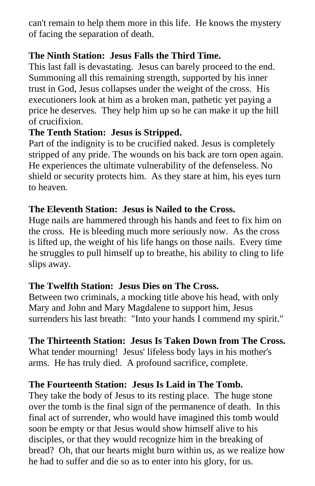can't remain to help them more in this life. He knows the mystery of facing the separation of death.

#### **The Ninth Station: Jesus Falls the Third Time.**

This last fall is devastating. Jesus can barely proceed to the end. Summoning all this remaining strength, supported by his inner trust in God, Jesus collapses under the weight of the cross. His executioners look at him as a broken man, pathetic yet paying a price he deserves. They help him up so he can make it up the hill of crucifixion.

#### **The Tenth Station: Jesus is Stripped.**

Part of the indignity is to be crucified naked. Jesus is completely stripped of any pride. The wounds on his back are torn open again. He experiences the ultimate vulnerability of the defenseless. No shield or security protects him. As they stare at him, his eyes turn to heaven.

#### **The Eleventh Station: Jesus is Nailed to the Cross.**

Huge nails are hammered through his hands and feet to fix him on the cross. He is bleeding much more seriously now. As the cross is lifted up, the weight of his life hangs on those nails. Every time he struggles to pull himself up to breathe, his ability to cling to life slips away.

#### **The Twelfth Station: Jesus Dies on The Cross.**

Between two criminals, a mocking title above his head, with only Mary and John and Mary Magdalene to support him, Jesus surrenders his last breath: "Into your hands I commend my spirit."

#### **The Thirteenth Station: Jesus Is Taken Down from The Cross.**

What tender mourning! Jesus' lifeless body lays in his mother's arms. He has truly died. A profound sacrifice, complete.

#### **The Fourteenth Station: Jesus Is Laid in The Tomb.**

They take the body of Jesus to its resting place. The huge stone over the tomb is the final sign of the permanence of death. In this final act of surrender, who would have imagined this tomb would soon be empty or that Jesus would show himself alive to his disciples, or that they would recognize him in the breaking of bread? Oh, that our hearts might burn within us, as we realize how he had to suffer and die so as to enter into his glory, for us.